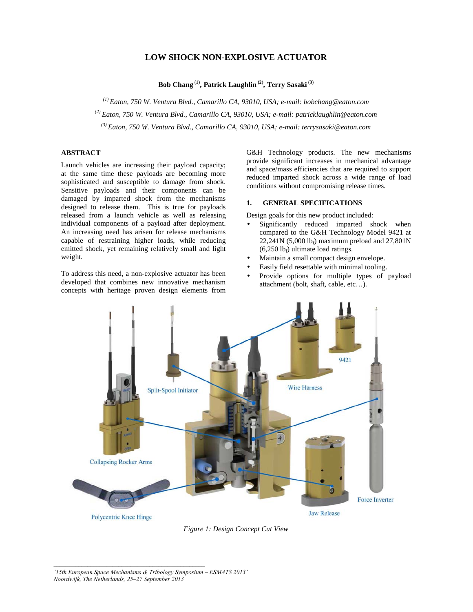# **LOW SHOCK NON-EXPLOSIVE ACTUATOR**

**Bob Chang (1), Patrick Laughlin (2), Terry Sasaki (3)**

*(1) Eaton, 750 W. Ventura Blvd., Camarillo CA, 93010, USA; e-mail: bobchang@eaton.com (2) Eaton, 750 W. Ventura Blvd., Camarillo CA, 93010, USA; e-mail: patricklaughlin@eaton.com (3) Eaton, 750 W. Ventura Blvd., Camarillo CA, 93010, USA; e-mail: terrysasaki@eaton.com* 

# **ABSTRACT**

Launch vehicles are increasing their payload capacity; at the same time these payloads are becoming more sophisticated and susceptible to damage from shock. Sensitive payloads and their components can be damaged by imparted shock from the mechanisms designed to release them. This is true for payloads released from a launch vehicle as well as releasing individual components of a payload after deployment. An increasing need has arisen for release mechanisms capable of restraining higher loads, while reducing emitted shock, yet remaining relatively small and light weight.

To address this need, a non-explosive actuator has been developed that combines new innovative mechanism concepts with heritage proven design elements from G&H Technology products. The new mechanisms provide significant increases in mechanical advantage and space/mass efficiencies that are required to support reduced imparted shock across a wide range of load conditions without compromising release times.

## **1. GENERAL SPECIFICATIONS**

Design goals for this new product included:

- Significantly reduced imparted shock when compared to the G&H Technology Model 9421 at 22,241N (5,000 lb<sub>f</sub>) maximum preload and 27,801N  $(6,250 \, lb<sub>f</sub>)$  ultimate load ratings.
- Maintain a small compact design envelope.
- Easily field resettable with minimal tooling.
- Provide options for multiple types of payload attachment (bolt, shaft, cable, etc…).



*Figure 1: Design Concept Cut View* 

*<sup>&#</sup>x27;15th European Space Mechanisms & Tribology Symposium – ESMATS 2013' Noordwijk, The Netherlands, 25–27 September 2013*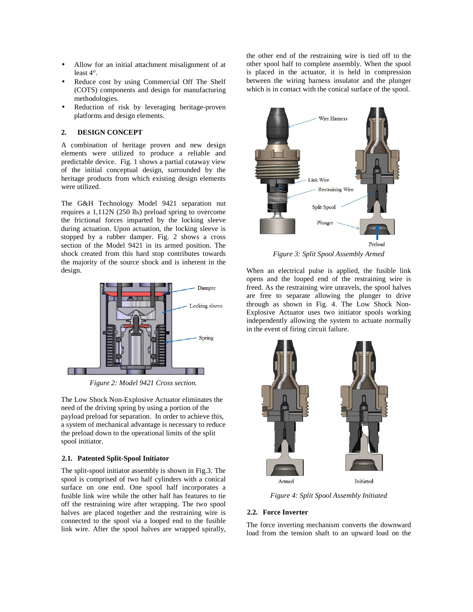- Allow for an initial attachment misalignment of at least 4°.
- Reduce cost by using Commercial Off The Shelf (COTS) components and design for manufacturing methodologies.
- Reduction of risk by leveraging heritage-proven platforms and design elements.

### **2. DESIGN CONCEPT**

A combination of heritage proven and new design elements were utilized to produce a reliable and predictable device. Fig. 1 shows a partial cutaway view of the initial conceptual design, surrounded by the heritage products from which existing design elements were utilized.

The G&H Technology Model 9421 separation nut requires a 1,112N (250 lb<sub>f</sub>) preload spring to overcome the frictional forces imparted by the locking sleeve during actuation. Upon actuation, the locking sleeve is stopped by a rubber damper. Fig. 2 shows a cross section of the Model 9421 in its armed position. The shock created from this hard stop contributes towards the majority of the source shock and is inherent in the design.



*Figure 2: Model 9421 Cross section.* 

The Low Shock Non-Explosive Actuator eliminates the need of the driving spring by using a portion of the payload preload for separation. In order to achieve this, a system of mechanical advantage is necessary to reduce the preload down to the operational limits of the split spool initiator.

### **2.1. Patented Split-Spool Initiator**

The split-spool initiator assembly is shown in Fig.3. The spool is comprised of two half cylinders with a conical surface on one end. One spool half incorporates a fusible link wire while the other half has features to tie off the restraining wire after wrapping. The two spool halves are placed together and the restraining wire is connected to the spool via a looped end to the fusible link wire. After the spool halves are wrapped spirally, the other end of the restraining wire is tied off to the other spool half to complete assembly. When the spool is placed in the actuator, it is held in compression between the wiring harness insulator and the plunger which is in contact with the conical surface of the spool.



*Figure 3: Split Spool Assembly Armed* 

When an electrical pulse is applied, the fusible link opens and the looped end of the restraining wire is freed. As the restraining wire unravels, the spool halves are free to separate allowing the plunger to drive through as shown in Fig. 4. The Low Shock Non-Explosive Actuator uses two initiator spools working independently allowing the system to actuate normally in the event of firing circuit failure.



*Figure 4: Split Spool Assembly Initiated* 

#### **2.2. Force Inverter**

The force inverting mechanism converts the downward load from the tension shaft to an upward load on the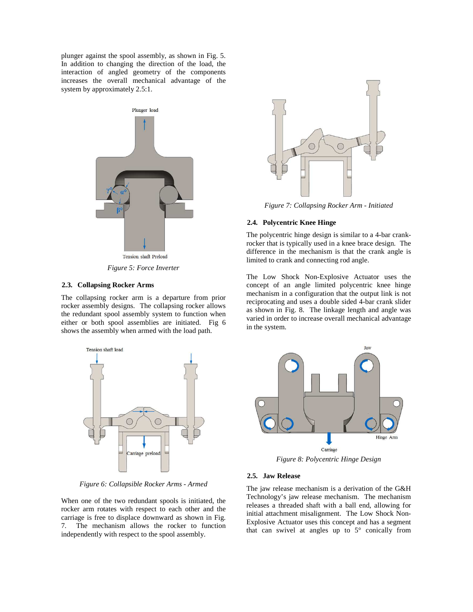plunger against the spool assembly, as shown in Fig. 5. In addition to changing the direction of the load, the interaction of angled geometry of the components increases the overall mechanical advantage of the system by approximately 2.5:1.



*Figure 5: Force Inverter* 

## **2.3. Collapsing Rocker Arms**

The collapsing rocker arm is a departure from prior rocker assembly designs. The collapsing rocker allows the redundant spool assembly system to function when either or both spool assemblies are initiated. Fig 6 shows the assembly when armed with the load path.



*Figure 6: Collapsible Rocker Arms - Armed* 

When one of the two redundant spools is initiated, the rocker arm rotates with respect to each other and the carriage is free to displace downward as shown in Fig. 7. The mechanism allows the rocker to function independently with respect to the spool assembly.



*Figure 7: Collapsing Rocker Arm - Initiated* 

#### **2.4. Polycentric Knee Hinge**

The polycentric hinge design is similar to a 4-bar crankrocker that is typically used in a knee brace design. The difference in the mechanism is that the crank angle is limited to crank and connecting rod angle.

The Low Shock Non-Explosive Actuator uses the concept of an angle limited polycentric knee hinge mechanism in a configuration that the output link is not reciprocating and uses a double sided 4-bar crank slider as shown in Fig. 8. The linkage length and angle was varied in order to increase overall mechanical advantage in the system.



*Figure 8: Polycentric Hinge Design* 

## **2.5. Jaw Release**

The jaw release mechanism is a derivation of the G&H Technology's jaw release mechanism. The mechanism releases a threaded shaft with a ball end, allowing for initial attachment misalignment. The Low Shock Non-Explosive Actuator uses this concept and has a segment that can swivel at angles up to 5° conically from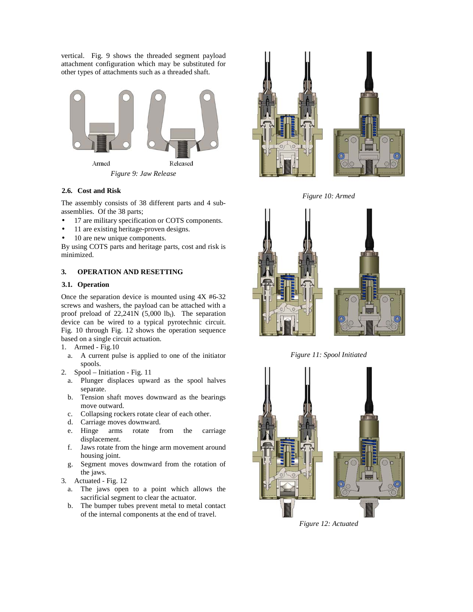vertical. Fig. 9 shows the threaded segment payload attachment configuration which may be substituted for other types of attachments such as a threaded shaft.



*Figure 9: Jaw Release* 

## **2.6. Cost and Risk**

The assembly consists of 38 different parts and 4 subassemblies. Of the 38 parts;

- 17 are military specification or COTS components.
- 11 are existing heritage-proven designs.
- 10 are new unique components.

By using COTS parts and heritage parts, cost and risk is minimized.

# **3. OPERATION AND RESETTING**

## **3.1. Operation**

Once the separation device is mounted using 4X #6-32 screws and washers, the payload can be attached with a proof preload of  $22,241N$  (5,000 lb<sub>f</sub>). The separation device can be wired to a typical pyrotechnic circuit. Fig. 10 through Fig. 12 shows the operation sequence based on a single circuit actuation.

- 1. Armed Fig.10
	- a. A current pulse is applied to one of the initiator spools.
- 2. Spool Initiation Fig. 11
	- a. Plunger displaces upward as the spool halves separate.
	- b. Tension shaft moves downward as the bearings move outward.
	- c. Collapsing rockers rotate clear of each other.
	- d. Carriage moves downward.
	- e. Hinge arms rotate from the carriage displacement.
	- f. Jaws rotate from the hinge arm movement around housing joint.
	- g. Segment moves downward from the rotation of the jaws.
- 3. Actuated Fig. 12
	- a. The jaws open to a point which allows the sacrificial segment to clear the actuator.
	- b. The bumper tubes prevent metal to metal contact of the internal components at the end of travel.



*Figure 10: Armed* 



*Figure 11: Spool Initiated* 



*Figure 12: Actuated*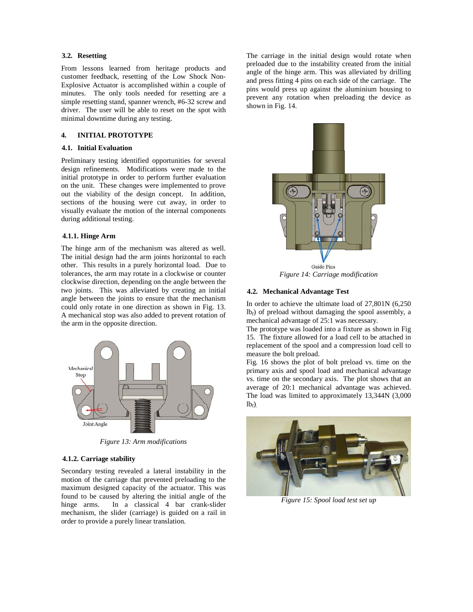# **3.2. Resetting**

From lessons learned from heritage products and customer feedback, resetting of the Low Shock Non-Explosive Actuator is accomplished within a couple of minutes. The only tools needed for resetting are a simple resetting stand, spanner wrench, #6-32 screw and driver. The user will be able to reset on the spot with minimal downtime during any testing.

### **4. INITIAL PROTOTYPE**

#### **4.1. Initial Evaluation**

Preliminary testing identified opportunities for several design refinements. Modifications were made to the initial prototype in order to perform further evaluation on the unit. These changes were implemented to prove out the viability of the design concept. In addition, sections of the housing were cut away, in order to visually evaluate the motion of the internal components during additional testing.

### **4.1.1. Hinge Arm**

The hinge arm of the mechanism was altered as well. The initial design had the arm joints horizontal to each other. This results in a purely horizontal load. Due to tolerances, the arm may rotate in a clockwise or counter clockwise direction, depending on the angle between the two joints. This was alleviated by creating an initial angle between the joints to ensure that the mechanism could only rotate in one direction as shown in Fig. 13. A mechanical stop was also added to prevent rotation of the arm in the opposite direction.



*Figure 13: Arm modifications* 

#### **4.1.2. Carriage stability**

Secondary testing revealed a lateral instability in the motion of the carriage that prevented preloading to the maximum designed capacity of the actuator. This was found to be caused by altering the initial angle of the hinge arms. In a classical 4 bar crank-slider mechanism, the slider (carriage) is guided on a rail in order to provide a purely linear translation.

The carriage in the initial design would rotate when preloaded due to the instability created from the initial angle of the hinge arm. This was alleviated by drilling and press fitting 4 pins on each side of the carriage. The pins would press up against the aluminium housing to prevent any rotation when preloading the device as shown in Fig. 14.



*Figure 14: Carriage modification* 

#### **4.2. Mechanical Advantage Test**

In order to achieve the ultimate load of 27,801N (6,250  $lb_f$ ) of preload without damaging the spool assembly, a mechanical advantage of 25:1 was necessary.

The prototype was loaded into a fixture as shown in Fig 15. The fixture allowed for a load cell to be attached in replacement of the spool and a compression load cell to measure the bolt preload.

Fig. 16 shows the plot of bolt preload vs. time on the primary axis and spool load and mechanical advantage vs. time on the secondary axis. The plot shows that an average of 20:1 mechanical advantage was achieved. The load was limited to approximately 13,344N (3,000  $lb<sub>f</sub>$ )



*Figure 15: Spool load test set up*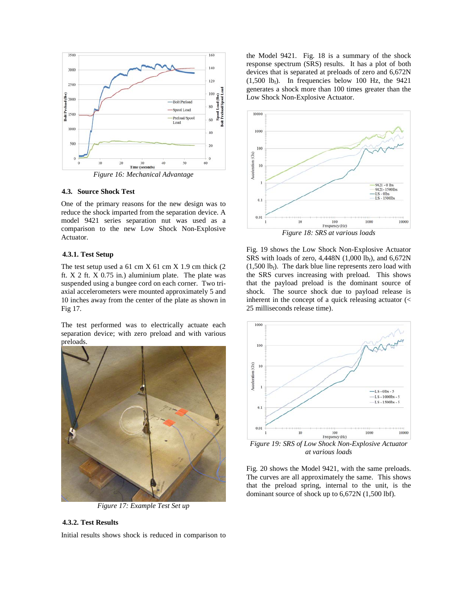

*Figure 16: Mechanical Advantage* 

#### **4.3. Source Shock Test**

One of the primary reasons for the new design was to reduce the shock imparted from the separation device. A model 9421 series separation nut was used as a comparison to the new Low Shock Non-Explosive Actuator.

### **4.3.1. Test Setup**

The test setup used a  $61 \text{ cm} X 61 \text{ cm} X 1.9 \text{ cm}$  thick  $(2)$ ft. X 2 ft. X 0.75 in.) aluminium plate. The plate was suspended using a bungee cord on each corner. Two triaxial accelerometers were mounted approximately 5 and 10 inches away from the center of the plate as shown in Fig 17.

The test performed was to electrically actuate each separation device; with zero preload and with various preloads.



*Figure 17: Example Test Set up* 

# **4.3.2. Test Results**

Initial results shows shock is reduced in comparison to

the Model 9421. Fig. 18 is a summary of the shock response spectrum (SRS) results. It has a plot of both devices that is separated at preloads of zero and 6,672N  $(1,500 \text{ lb}_f)$ . In frequencies below 100 Hz, the 9421 generates a shock more than 100 times greater than the Low Shock Non-Explosive Actuator.



*Figure 18: SRS at various loads* 

Fig. 19 shows the Low Shock Non-Explosive Actuator SRS with loads of zero,  $4,448N$  (1,000 lb<sub>f</sub>), and  $6,672N$  $(1,500 \text{ lb}_f)$ . The dark blue line represents zero load with the SRS curves increasing with preload. This shows that the payload preload is the dominant source of shock. The source shock due to payload release is inherent in the concept of a quick releasing actuator (< 25 milliseconds release time).



*Figure 19: SRS of Low Shock Non-Explosive Actuator at various loads* 

Fig. 20 shows the Model 9421, with the same preloads. The curves are all approximately the same. This shows that the preload spring, internal to the unit, is the dominant source of shock up to 6,672N (1,500 lbf).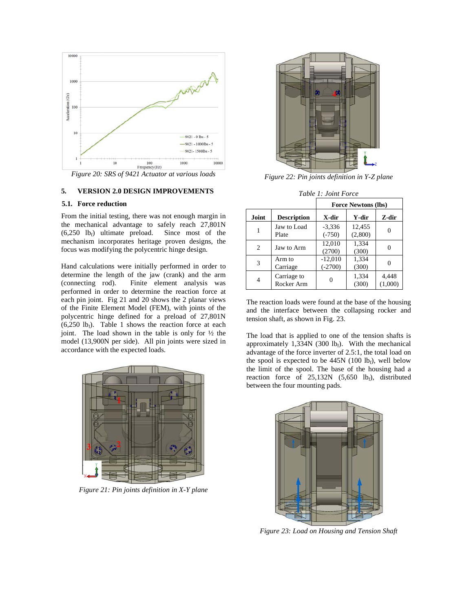

*Figure 20: SRS of 9421 Actuator at various loads* 

# **5. VERSION 2.0 DESIGN IMPROVEMENTS**

### **5.1. Force reduction**

From the initial testing, there was not enough margin in the mechanical advantage to safely reach 27,801N  $(6,250 \text{ lb}_f)$  ultimate preload. Since most of the mechanism incorporates heritage proven designs, the focus was modifying the polycentric hinge design.

Hand calculations were initially performed in order to determine the length of the jaw (crank) and the arm (connecting rod). Finite element analysis was performed in order to determine the reaction force at each pin joint. Fig 21 and 20 shows the 2 planar views of the Finite Element Model (FEM), with joints of the polycentric hinge defined for a preload of 27,801N  $(6,250 \text{ lb})$ . Table 1 shows the reaction force at each joint. The load shown in the table is only for ½ the model (13,900N per side). All pin joints were sized in accordance with the expected loads.



*Figure 21: Pin joints definition in X-Y plane* 



*Figure 22: Pin joints definition in Y-Z plane* 

|       |                           | <b>Force Newtons (lbs)</b> |                   |                  |
|-------|---------------------------|----------------------------|-------------------|------------------|
| Joint | <b>Description</b>        | X-dir                      | Y-dir             | Z-dir            |
|       | Jaw to Load<br>Plate      | $-3,336$<br>$(-750)$       | 12,455<br>(2,800) | 0                |
| 2     | Jaw to Arm                | 12,010<br>(2700)           | 1,334<br>(300)    | 0                |
| 3     | Arm to<br>Carriage        | $-12,010$<br>$(-2700)$     | 1,334<br>(300)    |                  |
| 4     | Carriage to<br>Rocker Arm | 0                          | 1,334<br>(300)    | 4,448<br>(1,000) |

The reaction loads were found at the base of the housing and the interface between the collapsing rocker and tension shaft, as shown in Fig. 23.

The load that is applied to one of the tension shafts is approximately  $1,334N$  (300 lbf). With the mechanical advantage of the force inverter of 2.5:1, the total load on the spool is expected to be  $445N$  (100 lb<sub>f</sub>), well below the limit of the spool. The base of the housing had a reaction force of  $25,132N$  (5,650 lbf), distributed between the four mounting pads.



*Figure 23: Load on Housing and Tension Shaft*